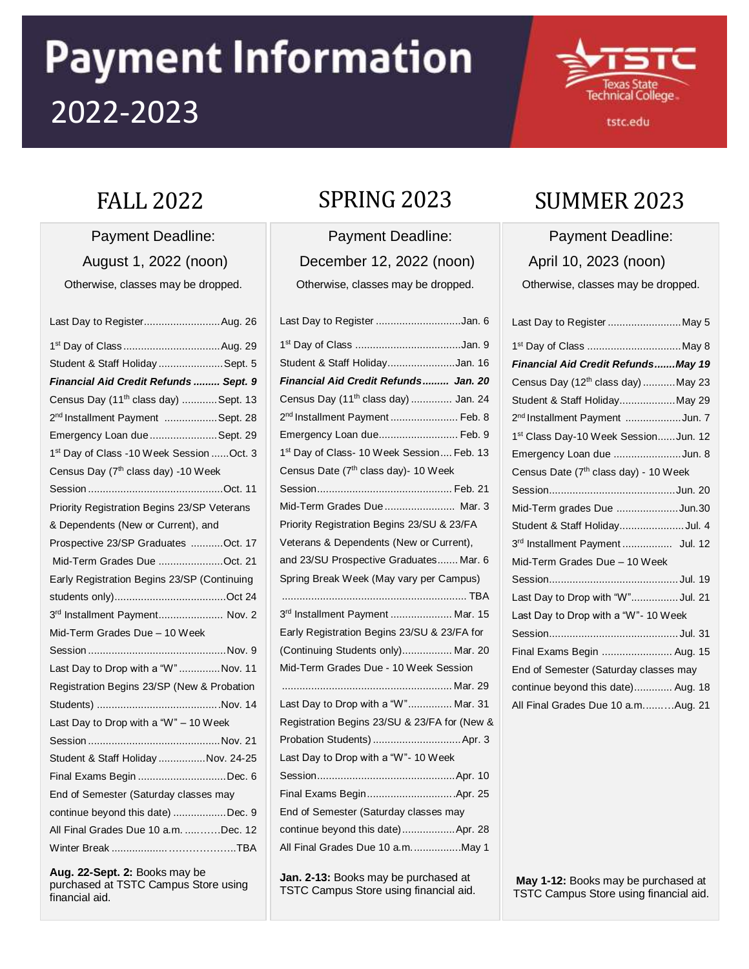# **Payment Information** 2022-2023



#### tstc.edu

Payment Deadline: August 1, 2022 (noon) Otherwise, classes may be dropped.

| Last Day to RegisterAug. 26                           |
|-------------------------------------------------------|
|                                                       |
| Student & Staff Holiday  Sept. 5                      |
| Financial Aid Credit Refunds  Sept. 9                 |
| Census Day (11 <sup>th</sup> class day) Sept. 13      |
| 2 <sup>nd</sup> Installment Payment  Sept. 28         |
| Emergency Loan due Sept. 29                           |
| 1 <sup>st</sup> Day of Class -10 Week Session  Oct. 3 |
| Census Day (7 <sup>th</sup> class day) -10 Week       |
|                                                       |
| Priority Registration Begins 23/SP Veterans           |
| & Dependents (New or Current), and                    |
| Prospective 23/SP Graduates Oct. 17                   |
| Mid-Term Grades Due Oct. 21                           |
| Early Registration Begins 23/SP (Continuing           |
|                                                       |
| 3rd Installment Payment Nov. 2                        |
| Mid-Term Grades Due - 10 Week                         |
|                                                       |
| Last Day to Drop with a "W"Nov. 11                    |
| Registration Begins 23/SP (New & Probation            |
|                                                       |
| Last Day to Drop with a "W" - 10 Week                 |
|                                                       |
| Student & Staff Holiday  Nov. 24-25                   |
| Final Exams Begin Dec. 6                              |
| End of Semester (Saturday classes may                 |
| continue beyond this date) Dec. 9                     |
| All Final Grades Due 10 a.m. Dec. 12                  |
|                                                       |
|                                                       |

**Aug. 22-Sept. 2:** Books may be purchased at TSTC Campus Store using financial aid.

Payment Deadline: December 12, 2022 (noon) Otherwise, classes may be dropped.

**Jan. 2-13:** Books may be purchased at TSTC Campus Store using financial aid.

# FALL 2022 SPRING 2023 SUMMER 2023

Payment Deadline: April 10, 2023 (noon) Otherwise, classes may be dropped.

| Last Day to Register May 5                        |
|---------------------------------------------------|
| 1 <sup>st</sup> Day of Class May 8                |
| Financial Aid Credit RefundsMay 19                |
| Census Day (12 <sup>th</sup> class day) May 23    |
| Student & Staff HolidayMay 29                     |
| 2 <sup>nd</sup> Installment Payment Jun. 7        |
| 1st Class Day-10 Week SessionJun. 12              |
| Emergency Loan due Jun. 8                         |
| Census Date (7 <sup>th</sup> class day) - 10 Week |
|                                                   |
| Mid-Term grades Due Jun.30                        |
| Student & Staff HolidayJul. 4                     |
| 3rd Installment Payment  Jul. 12                  |
| Mid-Term Grades Due - 10 Week                     |
|                                                   |
| Last Day to Drop with "W" Jul. 21                 |
| Last Day to Drop with a "W"- 10 Week              |
|                                                   |
| Final Exams Begin  Aug. 15                        |
| End of Semester (Saturday classes may             |
| continue beyond this date) Aug. 18                |
| All Final Grades Due 10 a.mAug. 21                |

**May 1-12:** Books may be purchased at TSTC Campus Store using financial aid.